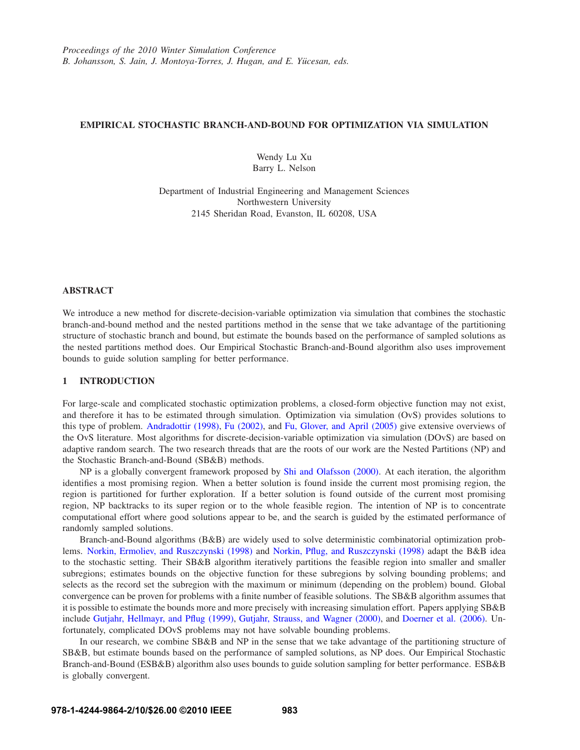# **EMPIRICAL STOCHASTIC BRANCH-AND-BOUND FOR OPTIMIZATION VIA SIMULATION**

Wendy Lu Xu Barry L. Nelson

Department of Industrial Engineering and Management Sciences Northwestern University 2145 Sheridan Road, Evanston, IL 60208, USA

## **ABSTRACT**

We introduce a new method for discrete-decision-variable optimization via simulation that combines the stochastic branch-and-bound method and the nested partitions method in the sense that we take advantage of the partitioning structure of stochastic branch and bound, but estimate the bounds based on the performance of sampled solutions as the nested partitions method does. Our Empirical Stochastic Branch-and-Bound algorithm also uses improvement bounds to guide solution sampling for better performance.

# **1 INTRODUCTION**

For large-scale and complicated stochastic optimization problems, a closed-form objective function may not exist, and therefore it has to be estimated through simulation. Optimization via simulation (OvS) provides solutions to this type of problem. Andradottir (1998), Fu (2002), and Fu, Glover, and April (2005) give extensive overviews of the OvS literature. Most algorithms for discrete-decision-variable optimization via simulation (DOvS) are based on adaptive random search. The two research threads that are the roots of our work are the Nested Partitions (NP) and the Stochastic Branch-and-Bound (SB&B) methods.

NP is a globally convergent framework proposed by Shi and Olafsson (2000). At each iteration, the algorithm identifies a most promising region. When a better solution is found inside the current most promising region, the region is partitioned for further exploration. If a better solution is found outside of the current most promising region, NP backtracks to its super region or to the whole feasible region. The intention of NP is to concentrate computational effort where good solutions appear to be, and the search is guided by the estimated performance of randomly sampled solutions.

Branch-and-Bound algorithms (B&B) are widely used to solve deterministic combinatorial optimization problems. Norkin, Ermoliev, and Ruszczynski (1998) and Norkin, Pflug, and Ruszczynski (1998) adapt the B&B idea to the stochastic setting. Their SB&B algorithm iteratively partitions the feasible region into smaller and smaller subregions; estimates bounds on the objective function for these subregions by solving bounding problems; and selects as the record set the subregion with the maximum or minimum (depending on the problem) bound. Global convergence can be proven for problems with a finite number of feasible solutions. The SB&B algorithm assumes that it is possible to estimate the bounds more and more precisely with increasing simulation effort. Papers applying SB&B include Gutjahr, Hellmayr, and Pflug (1999), Gutjahr, Strauss, and Wagner (2000), and Doerner et al. (2006). Unfortunately, complicated DOvS problems may not have solvable bounding problems.

In our research, we combine SB&B and NP in the sense that we take advantage of the partitioning structure of SB&B, but estimate bounds based on the performance of sampled solutions, as NP does. Our Empirical Stochastic Branch-and-Bound (ESB&B) algorithm also uses bounds to guide solution sampling for better performance. ESB&B is globally convergent.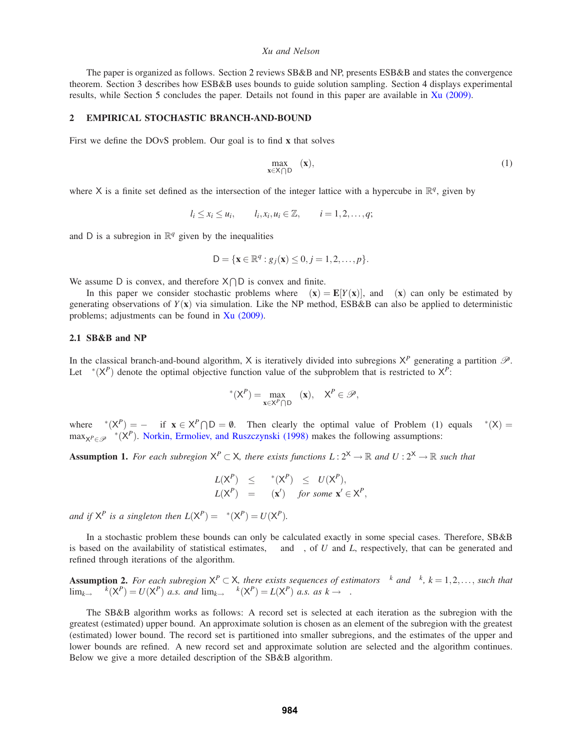The paper is organized as follows. Section 2 reviews SB&B and NP, presents ESB&B and states the convergence theorem. Section 3 describes how ESB&B uses bounds to guide solution sampling. Section 4 displays experimental results, while Section 5 concludes the paper. Details not found in this paper are available in Xu (2009).

## **2 EMPIRICAL STOCHASTIC BRANCH-AND-BOUND**

First we define the DOvS problem. Our goal is to find **x** that solves

$$
\max_{\mathbf{x}\in\mathsf{X}\cap\mathsf{D}}\mu(\mathbf{x}),\tag{1}
$$

where X is a finite set defined as the intersection of the integer lattice with a hypercube in  $\mathbb{R}^q$ , given by

$$
l_i \leq x_i \leq u_i
$$
,  $l_i, x_i, u_i \in \mathbb{Z}$ ,  $i = 1, 2, ..., q$ ;

and D is a subregion in  $\mathbb{R}^q$  given by the inequalities

$$
D = \{ \mathbf{x} \in \mathbb{R}^q : g_j(\mathbf{x}) \le 0, j = 1, 2, \dots, p \}.
$$

We assume D is convex, and therefore  $X \cap D$  is convex and finite.

In this paper we consider stochastic problems where  $\mu(\mathbf{x}) = \mathbf{E}[Y(\mathbf{x})]$ , and  $\mu(\mathbf{x})$  can only be estimated by generating observations of  $Y(\mathbf{x})$  via simulation. Like the NP method, ESB&B can also be applied to deterministic problems; adjustments can be found in Xu (2009).

## **2.1 SB&B and NP**

In the classical branch-and-bound algorithm, X is iteratively divided into subregions  $X^P$  generating a partition  $\mathcal{P}$ . Let  $\mu^*(X^P)$  denote the optimal objective function value of the subproblem that is restricted to  $X^P$ :

$$
\mu^*(X^P) = \max_{\mathbf{x} \in X^P \cap D} \mu(\mathbf{x}), \quad X^P \in \mathcal{P},
$$

where  $\mu^*(X^P) = -\infty$  if  $\mathbf{x} \in X^P \cap D = \emptyset$ . Then clearly the optimal value of Problem (1) equals  $\mu^*(X) =$  $\max_{X^P \in \mathcal{P}} \mu^*(X^P)$ . Norkin, Ermoliev, and Ruszczynski (1998) makes the following assumptions:

**Assumption 1.** *For each subregion*  $X^P \subset X$ *, there exists functions*  $L: 2^X \to \mathbb{R}$  *and*  $U: 2^X \to \mathbb{R}$  *such that* 

$$
L(X^{P}) \leq \mu^{*}(X^{P}) \leq U(X^{P}),
$$
  

$$
L(X^{P}) = \mu(x') \text{ for some } x' \in X^{P},
$$

*and if*  $X^P$  *is a singleton then*  $L(X^P) = \mu^*(X^P) = U(X^P)$ *.* 

In a stochastic problem these bounds can only be calculated exactly in some special cases. Therefore, SB&B is based on the availability of statistical estimates, η and ξ , of *U* and *L*, respectively, that can be generated and refined through iterations of the algorithm.

**Assumption 2.** For each subregion  $X^P \subset X$ , there exists sequences of estimators  $\eta^k$  and  $\xi^k$ ,  $k = 1, 2, \ldots$ , such that  $\lim_{k\to\infty} \eta^k(\mathsf{X}^P) = U(\mathsf{X}^P)$  *a.s. and*  $\lim_{k\to\infty} \xi^k(\mathsf{X}^P) = L(\mathsf{X}^P)$  *a.s. as*  $k\to\infty$ *.* 

The SB&B algorithm works as follows: A record set is selected at each iteration as the subregion with the greatest (estimated) upper bound. An approximate solution is chosen as an element of the subregion with the greatest (estimated) lower bound. The record set is partitioned into smaller subregions, and the estimates of the upper and lower bounds are refined. A new record set and approximate solution are selected and the algorithm continues. Below we give a more detailed description of the SB&B algorithm.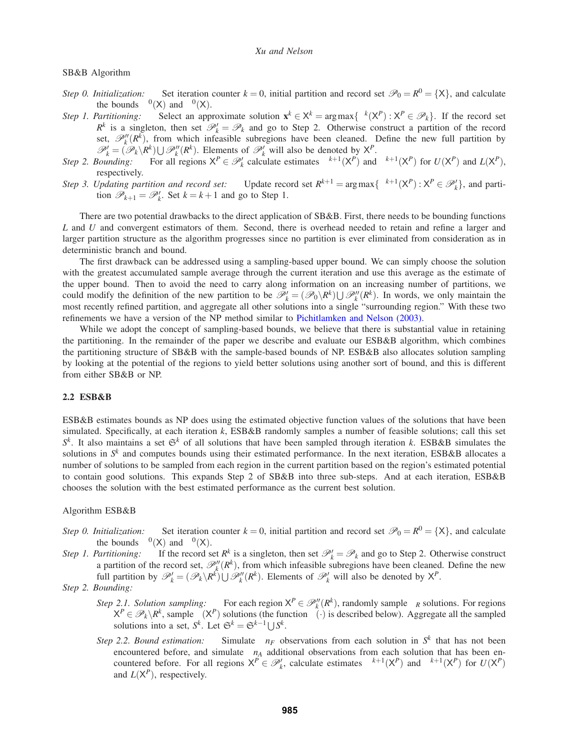# SB&B Algorithm

- *Step 0. Initialization:* Set iteration counter  $k = 0$ , initial partition and record set  $\mathcal{P}_0 = R^0 = \{X\}$ , and calculate the bounds  $\eta^0(X)$  and  $\xi^0(X)$ .
- *Step 1. Partitioning:* Select an approximate solution  $\mathbf{x}^k \in \mathsf{X}^k = \arg \max \{ \xi^k(\mathsf{X}^P) : \mathsf{X}^P \in \mathcal{P}_k \}$ . If the record set  $R^k$  is a singleton, then set  $\mathcal{P}'_k = \mathcal{P}_k$  and go to Step 2. Otherwise construct a partition of the record set,  $\mathscr{P}_k''(R^k)$ , from which infeasible subregions have been cleaned. Define the new full partition by  $\mathscr{P}'_k = (\mathscr{P}_k \backslash R^k) \cup \mathscr{P}''_k(R^k)$ . Elements of  $\mathscr{P}'_k$  will also be denoted by  $X^p$ .
- *Step 2. Bounding:* For all regions  $X^P \in \mathcal{P}'_k$  calculate estimates  $\eta^{k+1}(X^P)$  and  $\xi^{k+1}(X^P)$  for  $U(X^P)$  and  $L(X^P)$ , respectively.
- *Step 3. Updating partition and record set:* Update record set  $R^{k+1} = \arg \max \{ \eta^{k+1}(X^P) : X^P \in \mathcal{P}'_k \}$ , and partition  $\mathcal{P}_{k+1} = \mathcal{P}'_k$ . Set  $k = k+1$  and go to Step 1.

There are two potential drawbacks to the direct application of SB&B. First, there needs to be bounding functions *L* and *U* and convergent estimators of them. Second, there is overhead needed to retain and refine a larger and larger partition structure as the algorithm progresses since no partition is ever eliminated from consideration as in deterministic branch and bound.

The first drawback can be addressed using a sampling-based upper bound. We can simply choose the solution with the greatest accumulated sample average through the current iteration and use this average as the estimate of the upper bound. Then to avoid the need to carry along information on an increasing number of partitions, we could modify the definition of the new partition to be  $\mathcal{P}'_k = (\mathcal{P}_0 \setminus R^k) \cup \mathcal{P}''_k(R^k)$ . In words, we only maintain the most recently refined partition, and aggregate all other solutions into a single "surrounding region." With these two refinements we have a version of the NP method similar to Pichitlamken and Nelson (2003).

While we adopt the concept of sampling-based bounds, we believe that there is substantial value in retaining the partitioning. In the remainder of the paper we describe and evaluate our ESB&B algorithm, which combines the partitioning structure of SB&B with the sample-based bounds of NP. ESB&B also allocates solution sampling by looking at the potential of the regions to yield better solutions using another sort of bound, and this is different from either SB&B or NP.

## **2.2 ESB&B**

ESB&B estimates bounds as NP does using the estimated objective function values of the solutions that have been simulated. Specifically, at each iteration *k*, ESB&B randomly samples a number of feasible solutions; call this set  $S^k$ . It also maintains a set  $\mathfrak{S}^k$  of all solutions that have been sampled through iteration *k*. ESB&B simulates the solutions in *S<sup>k</sup>* and computes bounds using their estimated performance. In the next iteration, ESB&B allocates a number of solutions to be sampled from each region in the current partition based on the region's estimated potential to contain good solutions. This expands Step 2 of SB&B into three sub-steps. And at each iteration, ESB&B chooses the solution with the best estimated performance as the current best solution.

#### Algorithm ESB&B

- *Step 0. Initialization:* Set iteration counter  $k = 0$ , initial partition and record set  $\mathcal{P}_0 = R^0 = \{X\}$ , and calculate the bounds  $\eta^0(X)$  and  $\xi^0(X)$ .
- *Step 1. Partitioning:* If the record set  $R^k$  is a singleton, then set  $\mathcal{P}'_k = \mathcal{P}_k$  and go to Step 2. Otherwise construct a partition of the record set,  $\mathcal{P}_k''(R^k)$ , from which infeasible subregions have been cleaned. Define the new full partition by  $\mathscr{P}'_k = (\mathscr{P}_k \backslash R^k) \cup \mathscr{P}''_k(R^k)$ . Elements of  $\mathscr{P}'_k$  will also be denoted by  $X^P$ .

# *Step 2. Bounding:*

- *Step 2.1. Solution sampling:* For each region  $X^P \in \mathcal{P}_k''(R^k)$ , randomly sample  $\vartheta_R$  solutions. For regions  $X^P \in \mathscr{P}_k \backslash R^k$ , sample  $\theta(X^P)$  solutions (the function  $\theta(\cdot)$  is described below). Aggregate all the sampled solutions into a set,  $S^k$ . Let  $\mathfrak{S}^k = \mathfrak{S}^{k-1} \cup S^k$ .
- *Step 2.2. Bound estimation:* Simulate ∆*nF* observations from each solution in *S<sup>k</sup>* that has not been encountered before, and simulate  $\Delta n_A$  additional observations from each solution that has been encountered before. For all regions  $X^P \in \mathcal{P}'_k$ , calculate estimates  $\eta^{k+1}(X^P)$  and  $\xi^{k+1}(X^P)$  for  $U(X^P)$ and  $L(X^P)$ , respectively.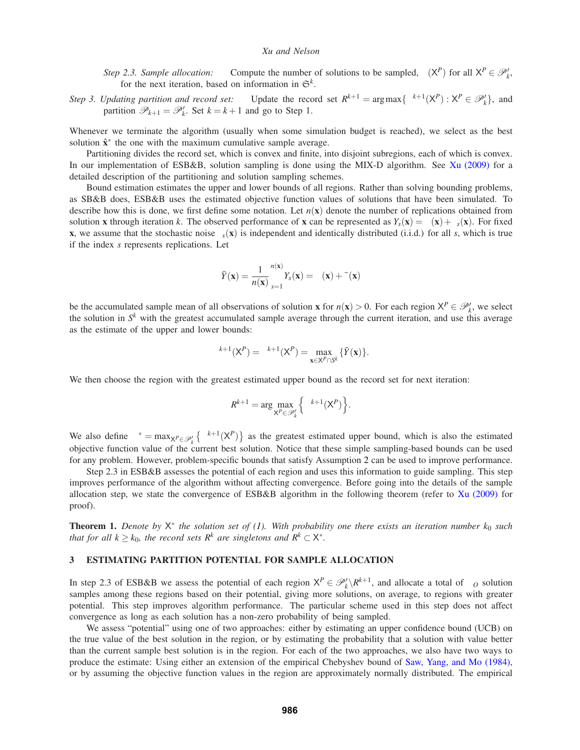*Step 2.3. Sample allocation:* Compute the number of solutions to be sampled,  $\theta(X^P)$  for all  $X^P \in \mathcal{P}'_k$ , for the next iteration, based on information in  $\mathfrak{S}^k$ .

*Step 3. Updating partition and record set:* Update the record set  $R^{k+1} = \arg \max \{ \eta^{k+1}(X^P) : X^P \in \mathcal{P}'_k \}$ , and partition  $\mathscr{P}_{k+1} = \mathscr{P}'_k$ . Set  $k = k+1$  and go to Step 1.

Whenever we terminate the algorithm (usually when some simulation budget is reached), we select as the best solution  $\hat{\mathbf{x}}^*$  the one with the maximum cumulative sample average.

Partitioning divides the record set, which is convex and finite, into disjoint subregions, each of which is convex. In our implementation of ESB&B, solution sampling is done using the MIX-D algorithm. See Xu (2009) for a detailed description of the partitioning and solution sampling schemes.

Bound estimation estimates the upper and lower bounds of all regions. Rather than solving bounding problems, as SB&B does, ESB&B uses the estimated objective function values of solutions that have been simulated. To describe how this is done, we first define some notation. Let  $n(x)$  denote the number of replications obtained from solution **x** through iteration *k*. The observed performance of **x** can be represented as  $Y_s(\mathbf{x}) = \mu(\mathbf{x}) + \varepsilon_s(\mathbf{x})$ . For fixed **x**, we assume that the stochastic noise  $\varepsilon_s(\mathbf{x})$  is independent and identically distributed (i.i.d.) for all *s*, which is true if the index *s* represents replications. Let

$$
\bar{Y}(\mathbf{x}) = \frac{1}{n(\mathbf{x})} \sum_{s=1}^{n(\mathbf{x})} Y_s(\mathbf{x}) = \mu(\mathbf{x}) + \bar{\varepsilon}(\mathbf{x})
$$

be the accumulated sample mean of all observations of solution **x** for  $n(\mathbf{x}) > 0$ . For each region  $X^P \in \mathcal{P}'_k$ , we select the solution in  $S<sup>k</sup>$  with the greatest accumulated sample average through the current iteration, and use this average as the estimate of the upper and lower bounds:

$$
\eta^{k+1}(\mathsf{X}^P)=\xi^{k+1}(\mathsf{X}^P)=\max_{\mathbf{x}\in\mathsf{X}^P\cap\mathsf{S}^k}\{\bar{Y}(\mathbf{x})\}.
$$

We then choose the region with the greatest estimated upper bound as the record set for next iteration:

$$
R^{k+1} = \arg\max_{\mathsf{X}^P \in \mathcal{P}'_k} \left\{ \eta^{k+1}(\mathsf{X}^P) \right\}.
$$

We also define  $\eta^* = \max_{X^P \in \mathcal{P}'_k} \{ \eta^{k+1}(X^P) \}$  as the greatest estimated upper bound, which is also the estimated objective function value of the current best solution. Notice that these simple sampling-based bounds can be used for any problem. However, problem-specific bounds that satisfy Assumption 2 can be used to improve performance.

Step 2.3 in ESB&B assesses the potential of each region and uses this information to guide sampling. This step improves performance of the algorithm without affecting convergence. Before going into the details of the sample allocation step, we state the convergence of ESB&B algorithm in the following theorem (refer to Xu (2009) for proof).

**Theorem 1.** *Denote by*  $X^*$  *the solution set of (1). With probability one there exists an iteration number*  $k_0$  *such that for all*  $k \geq k_0$ *, the record sets*  $R^k$  *are singletons and*  $R^k \subset X^*$ *.* 

## **3 ESTIMATING PARTITION POTENTIAL FOR SAMPLE ALLOCATION**

In step 2.3 of ESB&B we assess the potential of each region  $X^P \in \mathcal{P}'_k \backslash R^{k+1}$ , and allocate a total of  $\vartheta_O$  solution samples among these regions based on their potential, giving more solutions, on average, to regions with greater potential. This step improves algorithm performance. The particular scheme used in this step does not affect convergence as long as each solution has a non-zero probability of being sampled.

We assess "potential" using one of two approaches: either by estimating an upper confidence bound (UCB) on the true value of the best solution in the region, or by estimating the probability that a solution with value better than the current sample best solution is in the region. For each of the two approaches, we also have two ways to produce the estimate: Using either an extension of the empirical Chebyshev bound of Saw, Yang, and Mo (1984), or by assuming the objective function values in the region are approximately normally distributed. The empirical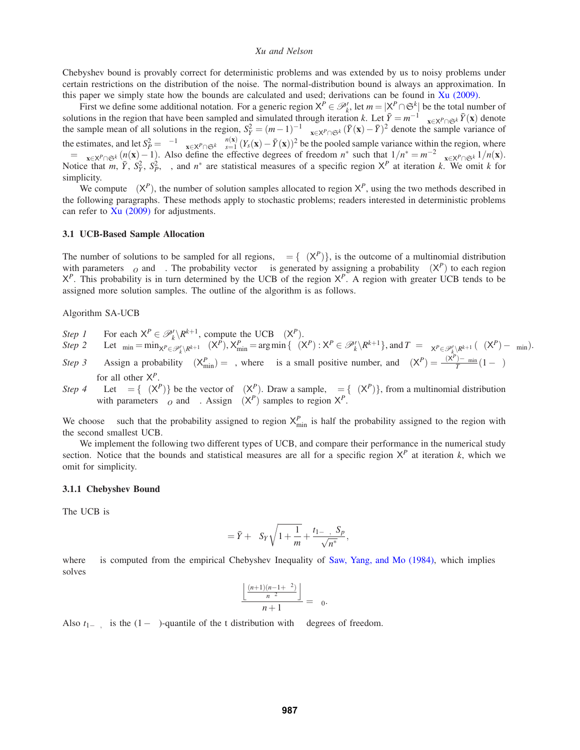Chebyshev bound is provably correct for deterministic problems and was extended by us to noisy problems under certain restrictions on the distribution of the noise. The normal-distribution bound is always an approximation. In this paper we simply state how the bounds are calculated and used; derivations can be found in Xu (2009).

First we define some additional notation. For a generic region  $X^P \in \mathcal{P}'_k$ , let  $m = |X^P \cap \mathfrak{S}^k|$  be the total number of solutions in the region that have been sampled and simulated through iteration k. Let  $\bar{Y} = m^{-1} \sum_{\mathbf{x} \in \mathsf{X}^P \cap \mathfrak{S}^k} \bar{Y}(\mathbf{x})$  denote the sample mean of all solutions in the region,  $S_Y^2 = (m-1)^{-1} \sum_{\mathbf{x} \in \mathsf$ the estimates, and let  $S_P^2 = v^{-1} \sum_{\mathbf{x} \in \mathcal{X}^P \cap \mathfrak{S}^k} \sum_{s=1}^{n(\mathbf{x})} (Y_s(\mathbf{x}) - \bar{Y}(\mathbf{x}))^2$  be the pooled sample variance within the region, where  $v = \sum_{\mathbf{x} \in \mathsf{X}^P \cap \mathfrak{S}^k} (n(\mathbf{x}) - 1)$ . Also define the effective degrees of freedom  $n^*$  such that  $1/n^* = m^{-2} \sum_{\mathbf{x} \in \mathsf{X}^P \cap \mathfrak{S}^k} 1/n(\mathbf{x})$ .<br>Notice that  $m, \bar{Y}, S_Y^2, S_P^2$ ,  $v$ , and  $n^*$  are statistical simplicity.

We compute  $\theta(X^P)$ , the number of solution samples allocated to region  $X^P$ , using the two methods described in the following paragraphs. These methods apply to stochastic problems; readers interested in deterministic problems can refer to  $Xu$  (2009) for adjustments.

## **3.1 UCB-Based Sample Allocation**

The number of solutions to be sampled for all regions,  $\theta = {\theta(X^p)}$ , is the outcome of a multinomial distribution with parameters  $\vartheta$ <sub>O</sub> and  $\varphi$ . The probability vector  $\varphi$  is generated by assigning a probability  $\varphi(X^P)$  to each region  $X^P$ . This probability is in turn determined by the UCB of the region  $X^P$ . A region with greater UCB tends to be assigned more solution samples. The outline of the algorithm is as follows.

# Algorithm SA-UCB

*Step 1* For each  $X^P \in \mathcal{P}'_k \backslash R^{k+1}$ , compute the UCB  $\zeta(X^P)$ .

Step 2 Let  $\zeta_{\min} = \min_{X^P \in \mathcal{P}'_k \backslash R^{k+1}} \zeta(X^P), X^P_{\min} = \arg \min \{ \zeta(X^P) : X^P \in \mathcal{P}'_k \backslash R^{k+1} \}$ , and  $T_{\zeta} = \sum_{X^P \in \mathcal{P}'_k \backslash R^{k+1}} (\zeta(X^P) - \zeta_{\min}).$ 

- *Step 3* Assign a probability  $\varphi(X_{\min}^P) = \varepsilon$ , where  $\varepsilon$  is a small positive number, and  $\varphi(X^P) = \frac{\zeta(X^P) \zeta_{\min}}{T_{\zeta}}(1 \varepsilon)$ for all other X*P*.
- *Step 4* Let  $\varphi = {\varphi(X^P)}$  be the vector of  $\varphi(X^P)$ . Draw a sample,  $\theta = {\vartheta(X^P)}$ , from a multinomial distribution with parameters  $\vartheta_o$  and  $\varphi$ . Assign  $\theta(X^P)$  samples to region  $X^P$ .

We choose  $\varepsilon$  such that the probability assigned to region  $X_{\min}^P$  is half the probability assigned to the region with the second smallest UCB.

We implement the following two different types of UCB, and compare their performance in the numerical study section. Notice that the bounds and statistical measures are all for a specific region  $X^P$  at iteration *k*, which we omit for simplicity.

## **3.1.1 Chebyshev Bound**

The UCB is

$$
\zeta = \bar{Y} + \lambda S_Y \sqrt{1 + \frac{1}{m}} + \frac{t_{1-\alpha,\nu} S_p}{\sqrt{n^*}},
$$

where  $\lambda$  is computed from the empirical Chebyshev Inequality of Saw, Yang, and Mo (1984), which implies  $\lambda$ solves

$$
\frac{\left\lfloor\frac{(n+1)(n-1+\lambda^2)}{n\lambda^2}\right\rfloor}{n+1}=\alpha_0.
$$

Also  $t_{1-\alpha, \nu}$  is the  $(1-\alpha)$ -quantile of the t distribution with v degrees of freedom.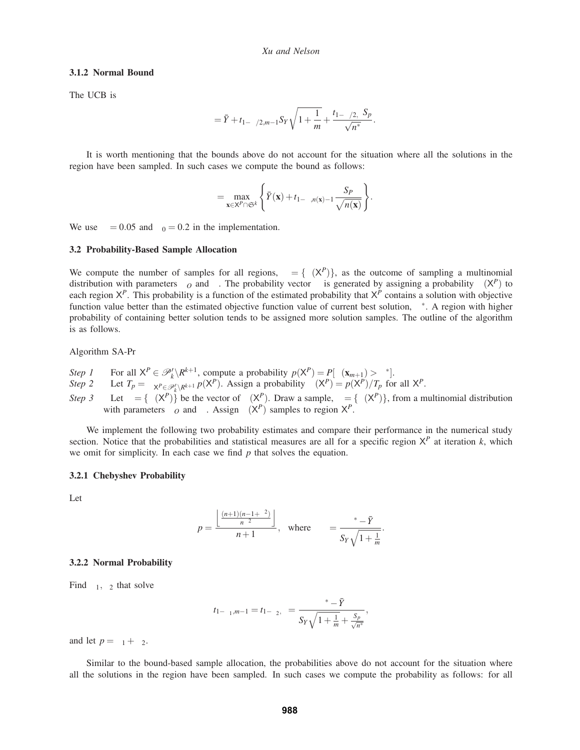#### **3.1.2 Normal Bound**

The UCB is

$$
\zeta = \bar{Y} + t_{1-\alpha/2,m-1} S_Y \sqrt{1 + \frac{1}{m}} + \frac{t_{1-\alpha/2,\mathbf{v}} S_p}{\sqrt{n^*}}.
$$

It is worth mentioning that the bounds above do not account for the situation where all the solutions in the region have been sampled. In such cases we compute the bound as follows:

$$
\zeta = \max_{\mathbf{x} \in \mathsf{X}^P \cap \mathfrak{S}^k} \left\{ \bar{Y}(\mathbf{x}) + t_{1-\alpha,n(\mathbf{x})-1} \frac{S_P}{\sqrt{n(\mathbf{x})}} \right\}.
$$

We use  $\alpha = 0.05$  and  $\alpha_0 = 0.2$  in the implementation.

## **3.2 Probability-Based Sample Allocation**

We compute the number of samples for all regions,  $\theta = {\theta(X^P)}$ , as the outcome of sampling a multinomial distribution with parameters  $\vartheta_0$  and  $\varphi$ . The probability vector  $\varphi$  is generated by assigning a probability  $\varphi(X^P)$  to each region  $X^P$ . This probability is a function of the estimated probability that  $X^P$  contains a solution with objective function value better than the estimated objective function value of current best solution,  $\eta^*$ . A region with higher probability of containing better solution tends to be assigned more solution samples. The outline of the algorithm is as follows.

#### Algorithm SA-Pr

- *Step 1* For all  $X^P \in \mathcal{P}'_k \backslash R^{k+1}$ , compute a probability  $p(X^P) = P[\mu(\mathbf{x}_{m+1}) > \eta^*].$
- *Step 2* Let  $T_p = \sum_{X^P \in \mathcal{P}'_k \setminus R^{k+1}} p(X^P)$ . Assign a probability  $\varphi(X^P) = p(X^P)/T_p$  for all  $X^P$ .
- *Step 3* Let  $\varphi = {\varphi(X^P)}$  be the vector of  $\varphi(X^P)$ . Draw a sample,  $\theta = {\vartheta(X^P)}$ , from a multinomial distribution with parameters  $\vartheta$ <sup>*O*</sup> and  $\varphi$ . Assign  $\theta$ ( $X^P$ ) samples to region  $X^P$ .

We implement the following two probability estimates and compare their performance in the numerical study section. Notice that the probabilities and statistical measures are all for a specific region  $X^P$  at iteration  $k$ , which we omit for simplicity. In each case we find *p* that solves the equation.

#### **3.2.1 Chebyshev Probability**

Let

$$
p = \frac{\left\lfloor \frac{(n+1)(n-1+\lambda^2)}{n\lambda^2} \right\rfloor}{n+1}, \text{ where } \lambda = \frac{\eta^* - \bar{Y}}{S_Y \sqrt{1 + \frac{1}{m}}}.
$$

## **3.2.2 Normal Probability**

Find  $\alpha_1, \alpha_2$  that solve

$$
t_{1-\alpha_1,m-1} = t_{1-\alpha_2,v} = \frac{\eta^* - \bar{Y}}{S_Y \sqrt{1 + \frac{1}{m} + \frac{S_p}{\sqrt{n^*}}}},
$$

and let  $p = \alpha_1 + \alpha_2$ .

Similar to the bound-based sample allocation, the probabilities above do not account for the situation where all the solutions in the region have been sampled. In such cases we compute the probability as follows: for all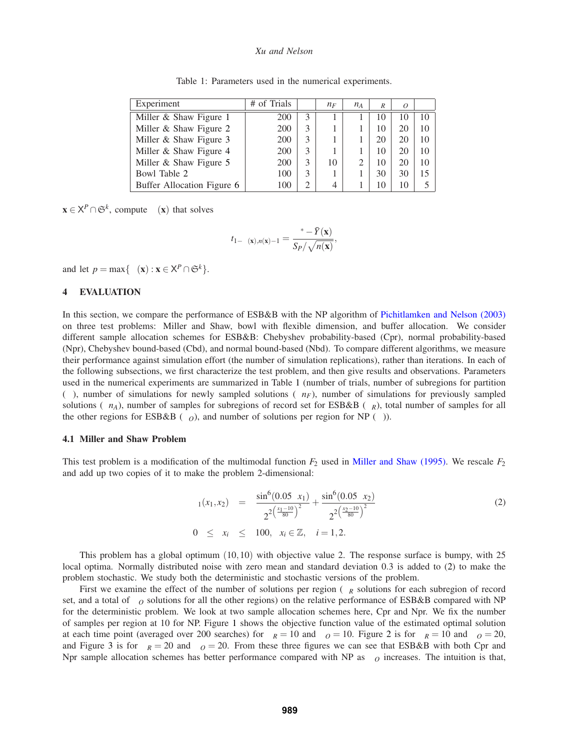| Experiment                 | # of Trials | ω             | $\Delta n_F$ | $\Delta n_A$ | $v_R$ | $v_0$ | $\eta$ |
|----------------------------|-------------|---------------|--------------|--------------|-------|-------|--------|
| Miller & Shaw Figure 1     | 200         | 3             |              |              | 10    | 10    | 10     |
| Miller & Shaw Figure 2     | 200         | 3             |              |              | 10    | 20    | 10     |
| Miller & Shaw Figure 3     | 200         | 3             |              |              | 20    | 20    | 10     |
| Miller & Shaw Figure 4     | 200         | 3             |              |              | 10    | 20    | 10     |
| Miller & Shaw Figure 5     | 200         | 3             | 10           |              | 10    | 20    | 10     |
| Bowl Table 2               | 100         | 3             |              |              | 30    | 30    | 15     |
| Buffer Allocation Figure 6 | 100         | $\mathcal{L}$ | 4            |              | 10    | 10    |        |

Table 1: Parameters used in the numerical experiments.

 $\mathbf{x} \in \mathsf{X}^P \cap \mathfrak{S}^k$ , compute  $\alpha(\mathbf{x})$  that solves

$$
t_{1-\alpha(\mathbf{x}),n(\mathbf{x})-1} = \frac{\eta^* - \bar{Y}(\mathbf{x})}{S_P / \sqrt{n(\mathbf{x})}},
$$

and let  $p = \max{\{\alpha(\mathbf{x}) : \mathbf{x} \in \mathsf{X}^P \cap \mathfrak{S}^k\}.$ 

## **4 EVALUATION**

In this section, we compare the performance of ESB&B with the NP algorithm of Pichitlamken and Nelson (2003) on three test problems: Miller and Shaw, bowl with flexible dimension, and buffer allocation. We consider different sample allocation schemes for ESB&B: Chebyshev probability-based (Cpr), normal probability-based (Npr), Chebyshev bound-based (Cbd), and normal bound-based (Nbd). To compare different algorithms, we measure their performance against simulation effort (the number of simulation replications), rather than iterations. In each of the following subsections, we first characterize the test problem, and then give results and observations. Parameters used in the numerical experiments are summarized in Table 1 (number of trials, number of subregions for partition (ω), number of simulations for newly sampled solutions (∆*nF* ), number of simulations for previously sampled solutions ( $Δn<sub>A</sub>$ ), number of samples for subregions of record set for ESB&B ( $\vartheta$ <sub>*R*</sub>), total number of samples for all the other regions for ESB&B ( $\vartheta$ <sub>O</sub>), and number of solutions per region for NP ( $\vartheta$ )).

#### **4.1 Miller and Shaw Problem**

This test problem is a modification of the multimodal function *F*<sup>2</sup> used in Miller and Shaw (1995). We rescale *F*<sup>2</sup> and add up two copies of it to make the problem 2-dimensional:

$$
\mu_1(x_1, x_2) = \frac{\sin^6(0.05\pi x_1)}{2^2 \left(\frac{x_1 - 10}{80}\right)^2} + \frac{\sin^6(0.05\pi x_2)}{2^2 \left(\frac{x_2 - 10}{80}\right)^2}
$$
\n
$$
0 \le x_i \le 100, \quad x_i \in \mathbb{Z}, \quad i = 1, 2.
$$
\n(2)

This problem has a global optimum (10,10) with objective value 2. The response surface is bumpy, with 25 local optima. Normally distributed noise with zero mean and standard deviation 0.3 is added to (2) to make the problem stochastic. We study both the deterministic and stochastic versions of the problem.

First we examine the effect of the number of solutions per region ( $\vartheta_R$  solutions for each subregion of record set, and a total of  $\partial_{\mathcal{O}}$  solutions for all the other regions) on the relative performance of ESB&B compared with NP for the deterministic problem. We look at two sample allocation schemes here, Cpr and Npr. We fix the number of samples per region at 10 for NP. Figure 1 shows the objective function value of the estimated optimal solution at each time point (averaged over 200 searches) for  $\vartheta_R = 10$  and  $\vartheta_O = 10$ . Figure 2 is for  $\vartheta_R = 10$  and  $\vartheta_O = 20$ , and Figure 3 is for  $\partial_R = 20$  and  $\partial_Q = 20$ . From these three figures we can see that ESB&B with both Cpr and Npr sample allocation schemes has better performance compared with NP as  $\vartheta$ <sup>*O*</sup> increases. The intuition is that,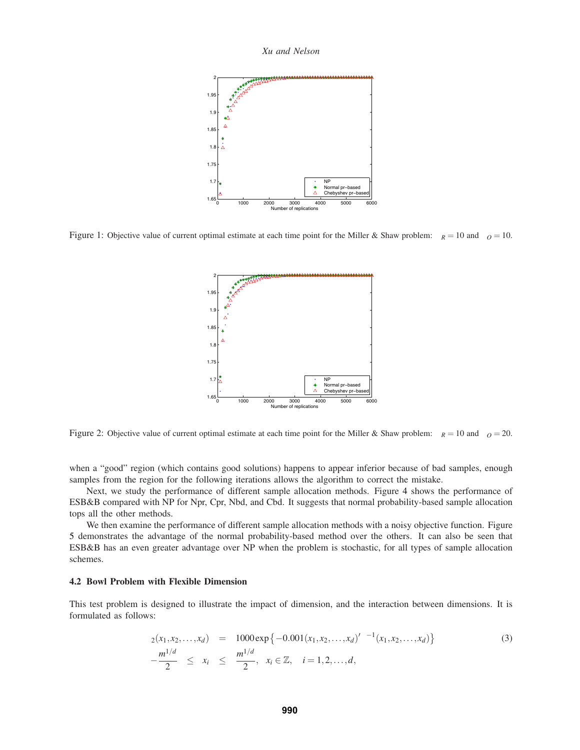

Figure 1: Objective value of current optimal estimate at each time point for the Miller & Shaw problem:  $\vartheta_R = 10$  and  $\vartheta_O = 10$ .



Figure 2: Objective value of current optimal estimate at each time point for the Miller & Shaw problem:  $\vartheta_R = 10$  and  $\vartheta_O = 20$ .

when a "good" region (which contains good solutions) happens to appear inferior because of bad samples, enough samples from the region for the following iterations allows the algorithm to correct the mistake.

Next, we study the performance of different sample allocation methods. Figure 4 shows the performance of ESB&B compared with NP for Npr, Cpr, Nbd, and Cbd. It suggests that normal probability-based sample allocation tops all the other methods.

We then examine the performance of different sample allocation methods with a noisy objective function. Figure 5 demonstrates the advantage of the normal probability-based method over the others. It can also be seen that ESB&B has an even greater advantage over NP when the problem is stochastic, for all types of sample allocation schemes.

# **4.2 Bowl Problem with Flexible Dimension**

This test problem is designed to illustrate the impact of dimension, and the interaction between dimensions. It is formulated as follows:

$$
\mu_2(x_1, x_2, \dots, x_d) = 1000 \exp\{-0.001(x_1, x_2, \dots, x_d)'\Sigma^{-1}(x_1, x_2, \dots, x_d)\}
$$
\n
$$
-\frac{m^{1/d}}{2} \leq x_i \leq \frac{m^{1/d}}{2}, \quad x_i \in \mathbb{Z}, \quad i = 1, 2, \dots, d,
$$
\n(3)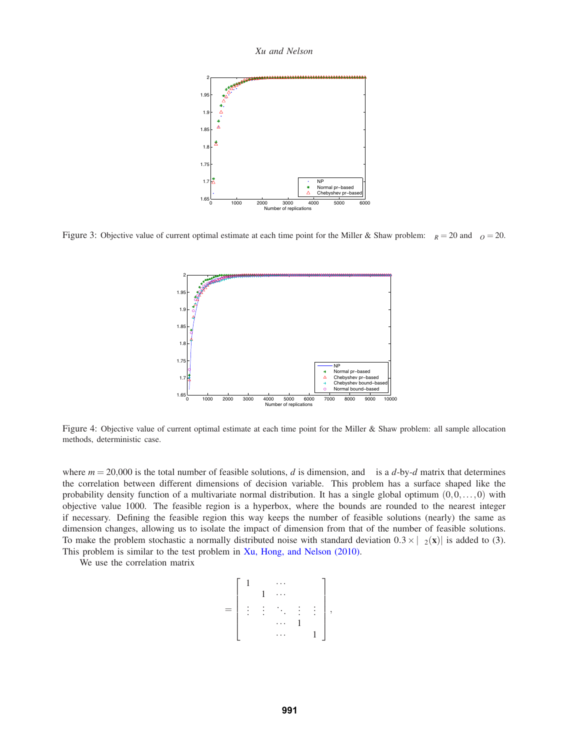*Xu and Nelson*



Figure 3: Objective value of current optimal estimate at each time point for the Miller & Shaw problem:  $\vartheta_R = 20$  and  $\vartheta_O = 20$ .



Figure 4: Objective value of current optimal estimate at each time point for the Miller & Shaw problem: all sample allocation methods, deterministic case.

where  $m = 20,000$  is the total number of feasible solutions, *d* is dimension, and  $\Sigma$  is a *d*-by-*d* matrix that determines the correlation between different dimensions of decision variable. This problem has a surface shaped like the probability density function of a multivariate normal distribution. It has a single global optimum  $(0,0,\ldots,0)$  with objective value 1000. The feasible region is a hyperbox, where the bounds are rounded to the nearest integer if necessary. Defining the feasible region this way keeps the number of feasible solutions (nearly) the same as dimension changes, allowing us to isolate the impact of dimension from that of the number of feasible solutions. To make the problem stochastic a normally distributed noise with standard deviation  $0.3 \times |\mu_2(\mathbf{x})|$  is added to (3). This problem is similar to the test problem in Xu, Hong, and Nelson (2010).

We use the correlation matrix

$$
\Sigma = \left[ \begin{array}{cccc} 1 & \rho & \cdots & \rho & \rho \\ \rho & 1 & \cdots & \rho & \rho \\ \vdots & \vdots & \ddots & \vdots & \vdots \\ \rho & \rho & \cdots & 1 & \rho \\ \rho & \rho & \cdots & \rho & 1 \end{array} \right],
$$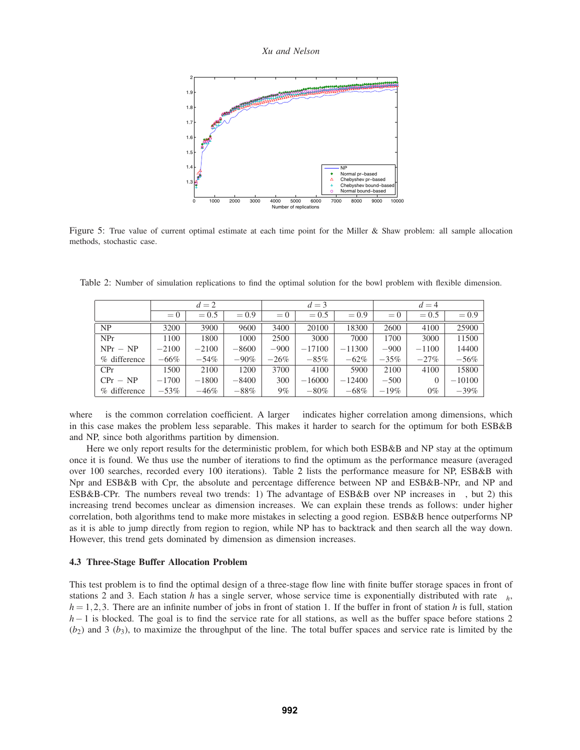*Xu and Nelson*



Figure 5: True value of current optimal estimate at each time point for the Miller & Shaw problem: all sample allocation methods, stochastic case.

|                | $d=2$      |              |              | $d=3$      |                          |              | $d=4$             |              |              |
|----------------|------------|--------------|--------------|------------|--------------------------|--------------|-------------------|--------------|--------------|
|                | $\rho = 0$ | $\rho = 0.5$ | $\rho = 0.9$ | $\rho = 0$ | $= 0.5$<br>$\mathcal{D}$ | $\rho = 0.9$ | $= 0$<br>$\Omega$ | $\rho = 0.5$ | $\rho = 0.9$ |
| N <sub>P</sub> | 3200       | 3900         | 9600         | 3400       | 20100                    | 18300        | 2600              | 4100         | 25900        |
| NPr            | 1100       | 1800         | 1000         | 2500       | 3000                     | 7000         | 1700              | 3000         | 11500        |
| $NPr - NP$     | $-2100$    | $-2100$      | $-8600$      | $-900$     | $-17100$                 | $-11300$     | $-900$            | $-1100$      | 14400        |
| % difference   | $-66\%$    | $-54\%$      | $-90\%$      | $-26\%$    | $-85%$                   | $-62%$       | $-35\%$           | $-27%$       | $-56%$       |
| CPr            | 1500       | 2100         | 1200         | 3700       | 4100                     | 5900         | 2100              | 4100         | 15800        |
| $CPr - NP$     | $-1700$    | $-1800$      | $-8400$      | 300        | $-16000$                 | $-12400$     | $-500$            | $\Omega$     | $-10100$     |
| % difference   | $-53\%$    | $-46%$       | $-88%$       | $9\%$      | $-80\%$                  | $-68%$       | $-19\%$           | $0\%$        | $-39\%$      |

where  $\rho$  is the common correlation coefficient. A larger  $\rho$  indicates higher correlation among dimensions, which in this case makes the problem less separable. This makes it harder to search for the optimum for both ESB&B and NP, since both algorithms partition by dimension.

Here we only report results for the deterministic problem, for which both ESB&B and NP stay at the optimum once it is found. We thus use the number of iterations to find the optimum as the performance measure (averaged over 100 searches, recorded every 100 iterations). Table 2 lists the performance measure for NP, ESB&B with Npr and ESB&B with Cpr, the absolute and percentage difference between NP and ESB&B-NPr, and NP and ESB&B-CPr. The numbers reveal two trends: 1) The advantage of ESB&B over NP increases in  $\rho$ , but 2) this increasing trend becomes unclear as dimension increases. We can explain these trends as follows: under higher correlation, both algorithms tend to make more mistakes in selecting a good region. ESB&B hence outperforms NP as it is able to jump directly from region to region, while NP has to backtrack and then search all the way down. However, this trend gets dominated by dimension as dimension increases.

## **4.3 Three-Stage Buffer Allocation Problem**

This test problem is to find the optimal design of a three-stage flow line with finite buffer storage spaces in front of stations 2 and 3. Each station *h* has a single server, whose service time is exponentially distributed with rate  $\mu_h$ ,  $h = 1,2,3$ . There are an infinite number of jobs in front of station 1. If the buffer in front of station h is full, station *h*−1 is blocked. The goal is to find the service rate for all stations, as well as the buffer space before stations 2  $(b_2)$  and 3  $(b_3)$ , to maximize the throughput of the line. The total buffer spaces and service rate is limited by the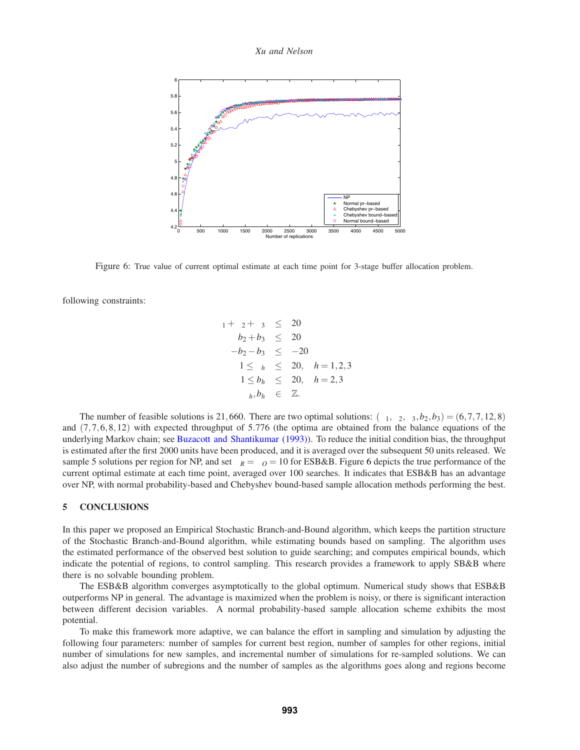*Xu and Nelson*



Figure 6: True value of current optimal estimate at each time point for 3-stage buffer allocation problem.

following constraints:

$$
\mu_1 + \mu_2 + \mu_3 \leq 20\n b_2 + b_3 \leq 20\n -b_2 - b_3 \leq -20\n 1 \leq \mu_h \leq 20, \quad h = 1, 2, 3\n 1 \leq b_h \leq 20, \quad h = 2, 3\n \mu_h, b_h \in \mathbb{Z}.
$$

The number of feasible solutions is 21,660. There are two optimal solutions:  $(\mu_1, \mu_2, \mu_3, b_2, b_3) = (6, 7, 7, 12, 8)$ and  $(7,7,6,8,12)$  with expected throughput of 5.776 (the optima are obtained from the balance equations of the underlying Markov chain; see Buzacott and Shantikumar (1993)). To reduce the initial condition bias, the throughput is estimated after the first 2000 units have been produced, and it is averaged over the subsequent 50 units released. We sample 5 solutions per region for NP, and set  $\vartheta_R = \vartheta_O = 10$  for ESB&B. Figure 6 depicts the true performance of the current optimal estimate at each time point, averaged over 100 searches. It indicates that ESB&B has an advantage over NP, with normal probability-based and Chebyshev bound-based sample allocation methods performing the best.

#### **5 CONCLUSIONS**

In this paper we proposed an Empirical Stochastic Branch-and-Bound algorithm, which keeps the partition structure of the Stochastic Branch-and-Bound algorithm, while estimating bounds based on sampling. The algorithm uses the estimated performance of the observed best solution to guide searching; and computes empirical bounds, which indicate the potential of regions, to control sampling. This research provides a framework to apply SB&B where there is no solvable bounding problem.

The ESB&B algorithm converges asymptotically to the global optimum. Numerical study shows that ESB&B outperforms NP in general. The advantage is maximized when the problem is noisy, or there is significant interaction between different decision variables. A normal probability-based sample allocation scheme exhibits the most potential.

To make this framework more adaptive, we can balance the effort in sampling and simulation by adjusting the following four parameters: number of samples for current best region, number of samples for other regions, initial number of simulations for new samples, and incremental number of simulations for re-sampled solutions. We can also adjust the number of subregions and the number of samples as the algorithms goes along and regions become